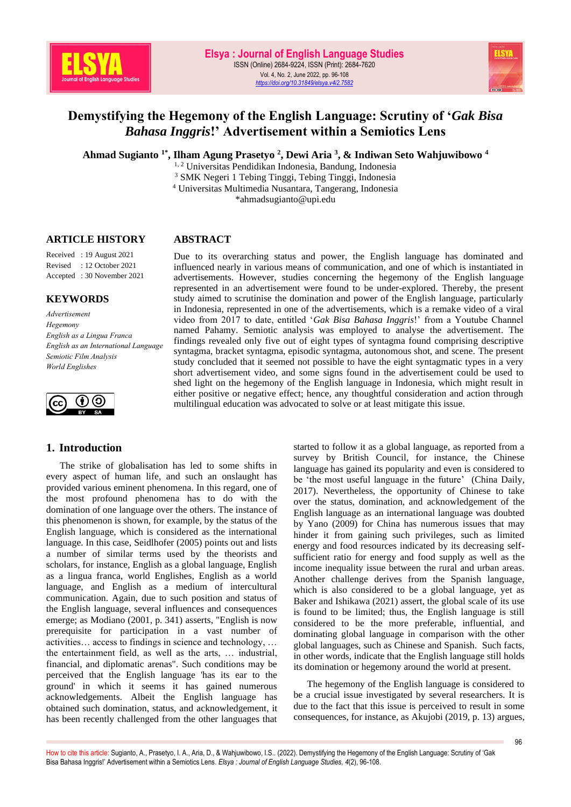

# **Demystifying the Hegemony of the English Language: Scrutiny of '***Gak Bisa Bahasa Inggris***!' Advertisement within a Semiotics Lens**

**Ahmad Sugianto 1\* , Ilham Agung Prasetyo <sup>2</sup> , Dewi Aria <sup>3</sup> , & Indiwan Seto Wahjuwibowo <sup>4</sup>**

<sup>1, 2</sup> Universitas Pendidikan Indonesia, Bandung, Indonesia

<sup>3</sup> SMK Negeri 1 Tebing Tinggi, Tebing Tinggi, Indonesia

<sup>4</sup> Universitas Multimedia Nusantara, Tangerang, Indonesia \*ahmadsugianto@upi.edu

#### **ARTICLE HISTORY**

#### **ABSTRACT**

Received : 19 August 2021 Revised : 12 October 2021 Accepted : 30 November 2021

### **KEYWORDS**

*Advertisement Hegemony English as a Lingua Franca English as an International Language Semiotic Film Analysis World Englishes*



### **1. Introduction**

The strike of globalisation has led to some shifts in every aspect of human life, and such an onslaught has provided various eminent phenomena. In this regard, one of the most profound phenomena has to do with the domination of one language over the others. The instance of this phenomenon is shown, for example, by the status of the English language, which is considered as the international language. In this case, Seidlhofer (2005) points out and lists a number of similar terms used by the theorists and scholars, for instance, English as a global language, English as a lingua franca, world Englishes, English as a world language, and English as a medium of intercultural communication. Again, due to such position and status of the English language, several influences and consequences emerge; as Modiano (2001, p. 341) asserts, "English is now prerequisite for participation in a vast number of activities… access to findings in science and technology, … the entertainment field, as well as the arts, … industrial, financial, and diplomatic arenas". Such conditions may be perceived that the English language 'has its ear to the ground' in which it seems it has gained numerous acknowledgements. Albeit the English language has obtained such domination, status, and acknowledgement, it has been recently challenged from the other languages that

Due to its overarching status and power, the English language has dominated and influenced nearly in various means of communication, and one of which is instantiated in advertisements. However, studies concerning the hegemony of the English language represented in an advertisement were found to be under-explored. Thereby, the present study aimed to scrutinise the domination and power of the English language, particularly in Indonesia, represented in one of the advertisements, which is a remake video of a viral video from 2017 to date, entitled '*Gak Bisa Bahasa Inggris*!' from a Youtube Channel named Pahamy. Semiotic analysis was employed to analyse the advertisement. The findings revealed only five out of eight types of syntagma found comprising descriptive syntagma, bracket syntagma, episodic syntagma, autonomous shot, and scene. The present study concluded that it seemed not possible to have the eight syntagmatic types in a very short advertisement video, and some signs found in the advertisement could be used to shed light on the hegemony of the English language in Indonesia, which might result in either positive or negative effect; hence, any thoughtful consideration and action through multilingual education was advocated to solve or at least mitigate this issue.

> started to follow it as a global language, as reported from a survey by British Council, for instance, the Chinese language has gained its popularity and even is considered to be 'the most useful language in the future' (China Daily, 2017). Nevertheless, the opportunity of Chinese to take over the status, domination, and acknowledgement of the English language as an international language was doubted by Yano (2009) for China has numerous issues that may hinder it from gaining such privileges, such as limited energy and food resources indicated by its decreasing selfsufficient ratio for energy and food supply as well as the income inequality issue between the rural and urban areas. Another challenge derives from the Spanish language, which is also considered to be a global language, yet as Baker and Ishikawa (2021) assert, the global scale of its use is found to be limited; thus, the English language is still considered to be the more preferable, influential, and dominating global language in comparison with the other global languages, such as Chinese and Spanish. Such facts, in other words, indicate that the English language still holds its domination or hegemony around the world at present.

> The hegemony of the English language is considered to be a crucial issue investigated by several researchers. It is due to the fact that this issue is perceived to result in some consequences, for instance, as Akujobi (2019, p. 13) argues,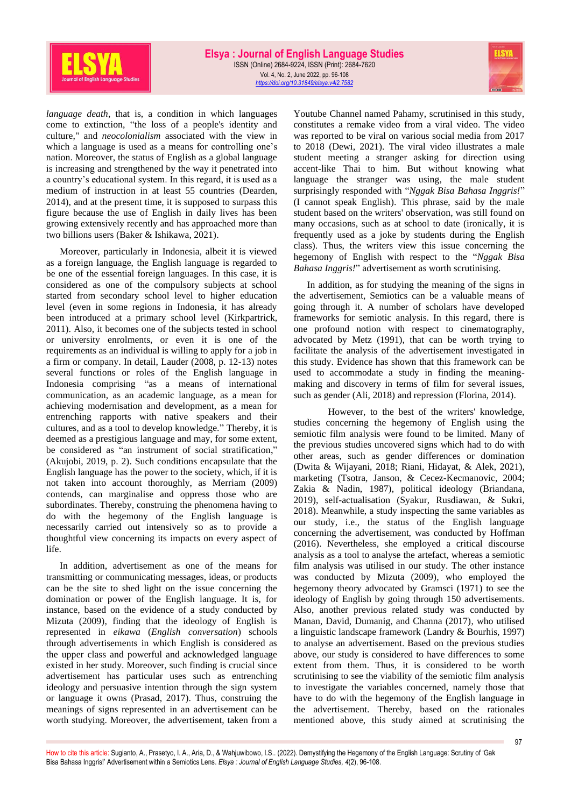

*language death*, that is, a condition in which languages come to extinction, "the loss of a people's identity and culture," and *neocolonialism* associated with the view in which a language is used as a means for controlling one's nation. Moreover, the status of English as a global language is increasing and strengthened by the way it penetrated into a country's educational system. In this regard, it is used as a medium of instruction in at least 55 countries (Dearden, 2014), and at the present time, it is supposed to surpass this figure because the use of English in daily lives has been growing extensively recently and has approached more than two billions users (Baker & Ishikawa, 2021).

Moreover, particularly in Indonesia, albeit it is viewed as a foreign language, the English language is regarded to be one of the essential foreign languages. In this case, it is considered as one of the compulsory subjects at school started from secondary school level to higher education level (even in some regions in Indonesia, it has already been introduced at a primary school level (Kirkpartrick, 2011). Also, it becomes one of the subjects tested in school or university enrolments, or even it is one of the requirements as an individual is willing to apply for a job in a firm or company. In detail, Lauder (2008, p. 12-13) notes several functions or roles of the English language in Indonesia comprising "as a means of international communication, as an academic language, as a mean for achieving modernisation and development, as a mean for entrenching rapports with native speakers and their cultures, and as a tool to develop knowledge." Thereby, it is deemed as a prestigious language and may, for some extent, be considered as "an instrument of social stratification," (Akujobi, 2019, p. 2). Such conditions encapsulate that the English language has the power to the society, which, if it is not taken into account thoroughly, as Merriam (2009) contends, can marginalise and oppress those who are subordinates. Thereby, construing the phenomena having to do with the hegemony of the English language is necessarily carried out intensively so as to provide a thoughtful view concerning its impacts on every aspect of life.

In addition, advertisement as one of the means for transmitting or communicating messages, ideas, or products can be the site to shed light on the issue concerning the domination or power of the English language. It is, for instance, based on the evidence of a study conducted by Mizuta (2009), finding that the ideology of English is represented in *eikawa* (*English conversation*) schools through advertisements in which English is considered as the upper class and powerful and acknowledged language existed in her study. Moreover, such finding is crucial since advertisement has particular uses such as entrenching ideology and persuasive intention through the sign system or language it owns (Prasad, 2017). Thus, construing the meanings of signs represented in an advertisement can be worth studying. Moreover, the advertisement, taken from a

Youtube Channel named Pahamy, scrutinised in this study, constitutes a remake video from a viral video. The video was reported to be viral on various social media from 2017 to 2018 (Dewi, 2021). The viral video illustrates a male student meeting a stranger asking for direction using accent-like Thai to him. But without knowing what language the stranger was using, the male student surprisingly responded with "*Nggak Bisa Bahasa Inggris!*" (I cannot speak English). This phrase, said by the male student based on the writers' observation, was still found on many occasions, such as at school to date (ironically, it is frequently used as a joke by students during the English class). Thus, the writers view this issue concerning the hegemony of English with respect to the "*Nggak Bisa Bahasa Inggris!*" advertisement as worth scrutinising.

In addition, as for studying the meaning of the signs in the advertisement, Semiotics can be a valuable means of going through it. A number of scholars have developed frameworks for semiotic analysis. In this regard, there is one profound notion with respect to cinematography, advocated by Metz (1991), that can be worth trying to facilitate the analysis of the advertisement investigated in this study. Evidence has shown that this framework can be used to accommodate a study in finding the meaningmaking and discovery in terms of film for several issues, such as gender (Ali, 2018) and repression (Florina, 2014).

However, to the best of the writers' knowledge, studies concerning the hegemony of English using the semiotic film analysis were found to be limited. Many of the previous studies uncovered signs which had to do with other areas, such as gender differences or domination (Dwita & Wijayani, 2018; Riani, Hidayat, & Alek, 2021), marketing (Tsotra, Janson, & Cecez-Kecmanovic, 2004; Zakia & Nadin, 1987), political ideology (Briandana, 2019), self-actualisation (Syakur, Rusdiawan, & Sukri, 2018). Meanwhile, a study inspecting the same variables as our study, i.e., the status of the English language concerning the advertisement, was conducted by Hoffman (2016). Nevertheless, she employed a critical discourse analysis as a tool to analyse the artefact, whereas a semiotic film analysis was utilised in our study. The other instance was conducted by Mizuta (2009), who employed the hegemony theory advocated by Gramsci (1971) to see the ideology of English by going through 150 advertisements. Also, another previous related study was conducted by Manan, David, Dumanig, and Channa (2017), who utilised a linguistic landscape framework (Landry & Bourhis, 1997) to analyse an advertisement. Based on the previous studies above, our study is considered to have differences to some extent from them. Thus, it is considered to be worth scrutinising to see the viability of the semiotic film analysis to investigate the variables concerned, namely those that have to do with the hegemony of the English language in the advertisement. Thereby, based on the rationales mentioned above, this study aimed at scrutinising the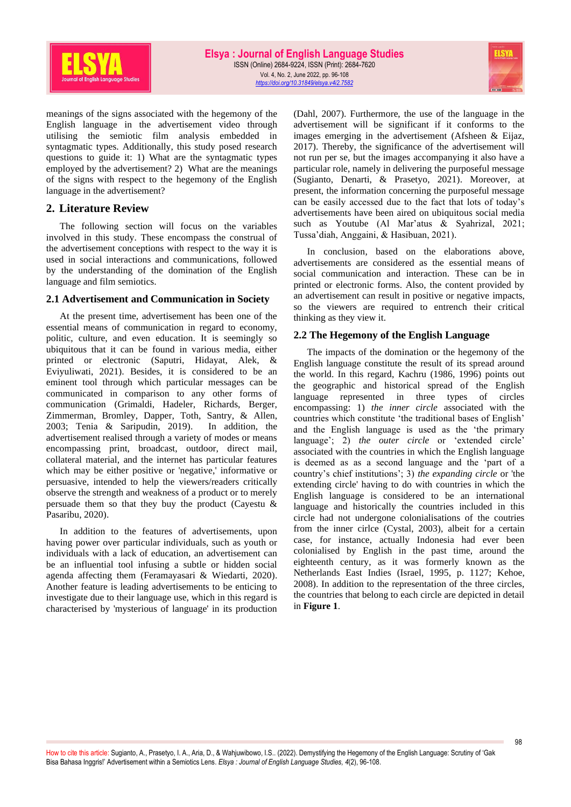

meanings of the signs associated with the hegemony of the English language in the advertisement video through utilising the semiotic film analysis embedded in syntagmatic types. Additionally, this study posed research questions to guide it: 1) What are the syntagmatic types employed by the advertisement? 2) What are the meanings of the signs with respect to the hegemony of the English language in the advertisement?

# **2. Literature Review**

The following section will focus on the variables involved in this study. These encompass the construal of the advertisement conceptions with respect to the way it is used in social interactions and communications, followed by the understanding of the domination of the English language and film semiotics.

### **2.1 Advertisement and Communication in Society**

At the present time, advertisement has been one of the essential means of communication in regard to economy, politic, culture, and even education. It is seemingly so ubiquitous that it can be found in various media, either printed or electronic (Saputri, Hidayat, Alek, & Eviyuliwati, 2021). Besides, it is considered to be an eminent tool through which particular messages can be communicated in comparison to any other forms of communication (Grimaldi, Hadeler, Richards, Berger, Zimmerman, Bromley, Dapper, Toth, Santry, & Allen, 2003; Tenia & Saripudin, 2019). In addition, the advertisement realised through a variety of modes or means encompassing print, broadcast, outdoor, direct mail, collateral material, and the internet has particular features which may be either positive or 'negative,' informative or persuasive, intended to help the viewers/readers critically observe the strength and weakness of a product or to merely persuade them so that they buy the product (Cayestu  $\&$ Pasaribu, 2020).

In addition to the features of advertisements, upon having power over particular individuals, such as youth or individuals with a lack of education, an advertisement can be an influential tool infusing a subtle or hidden social agenda affecting them (Feramayasari & Wiedarti, 2020). Another feature is leading advertisements to be enticing to investigate due to their language use, which in this regard is characterised by 'mysterious of language' in its production (Dahl, 2007). Furthermore, the use of the language in the advertisement will be significant if it conforms to the images emerging in the advertisement (Afsheen & Eijaz, 2017). Thereby, the significance of the advertisement will not run per se, but the images accompanying it also have a particular role, namely in delivering the purposeful message (Sugianto, Denarti, & Prasetyo, 2021). Moreover, at present, the information concerning the purposeful message can be easily accessed due to the fact that lots of today's advertisements have been aired on ubiquitous social media such as Youtube (Al Mar'atus & Syahrizal, 2021; Tussa'diah, Anggaini, & Hasibuan, 2021).

In conclusion, based on the elaborations above, advertisements are considered as the essential means of social communication and interaction. These can be in printed or electronic forms. Also, the content provided by an advertisement can result in positive or negative impacts, so the viewers are required to entrench their critical thinking as they view it.

### **2.2 The Hegemony of the English Language**

The impacts of the domination or the hegemony of the English language constitute the result of its spread around the world. In this regard, Kachru (1986, 1996) points out the geographic and historical spread of the English language represented in three types of circles encompassing: 1) *the inner circle* associated with the countries which constitute 'the traditional bases of English' and the English language is used as the 'the primary language'; 2) *the outer circle* or 'extended circle' associated with the countries in which the English language is deemed as as a second language and the 'part of a country's chief institutions'; 3) *the expanding circle* or 'the extending circle' having to do with countries in which the English language is considered to be an international language and historically the countries included in this circle had not undergone colonialisations of the coutries from the inner cirlce (Cystal, 2003), albeit for a certain case, for instance, actually Indonesia had ever been colonialised by English in the past time, around the eighteenth century, as it was formerly known as the Netherlands East Indies (Israel, 1995, p. 1127; Kehoe, 2008). In addition to the representation of the three circles, the countries that belong to each circle are depicted in detail in **Figure 1**.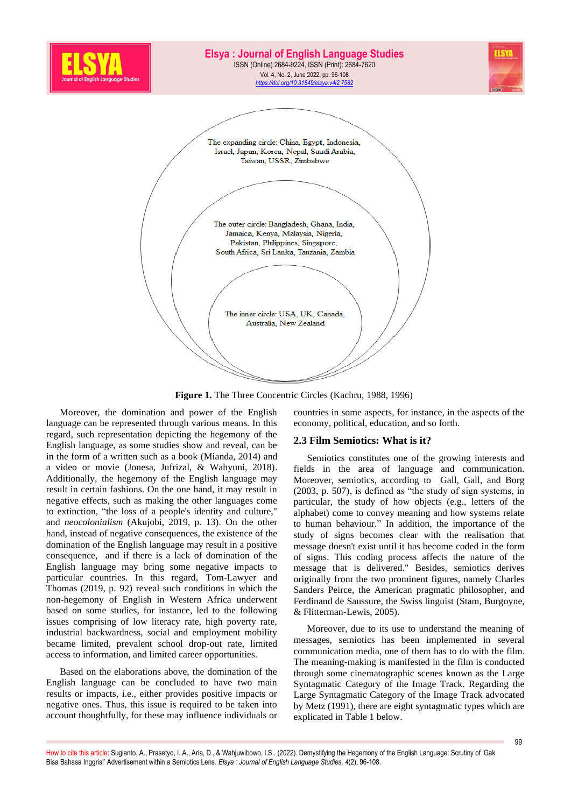

**Figure 1.** The Three Concentric Circles (Kachru, 1988, 1996)

Moreover, the domination and power of the English language can be represented through various means. In this regard, such representation depicting the hegemony of the English language, as some studies show and reveal, can be in the form of a written such as a book (Mianda, 2014) and a video or movie (Jonesa, Jufrizal, & Wahyuni, 2018). Additionally, the hegemony of the English language may result in certain fashions. On the one hand, it may result in negative effects, such as making the other languages come to extinction, "the loss of a people's identity and culture," and *neocolonialism* (Akujobi, 2019, p. 13). On the other hand, instead of negative consequences, the existence of the domination of the English language may result in a positive consequence, and if there is a lack of domination of the English language may bring some negative impacts to particular countries. In this regard, Tom-Lawyer and Thomas (2019, p. 92) reveal such conditions in which the non-hegemony of English in Western Africa underwent based on some studies, for instance, led to the following issues comprising of low literacy rate, high poverty rate, industrial backwardness, social and employment mobility became limited, prevalent school drop-out rate, limited access to information, and limited career opportunities.

Based on the elaborations above, the domination of the English language can be concluded to have two main results or impacts, i.e., either provides positive impacts or negative ones. Thus, this issue is required to be taken into account thoughtfully, for these may influence individuals or countries in some aspects, for instance, in the aspects of the economy, political, education, and so forth.

### **2.3 Film Semiotics: What is it?**

Semiotics constitutes one of the growing interests and fields in the area of language and communication. Moreover, semiotics, according to Gall, Gall, and Borg (2003, p. 507), is defined as "the study of sign systems, in particular, the study of how objects (e.g., letters of the alphabet) come to convey meaning and how systems relate to human behaviour." In addition, the importance of the study of signs becomes clear with the realisation that message doesn't exist until it has become coded in the form of signs. This coding process affects the nature of the message that is delivered." Besides, semiotics derives originally from the two prominent figures, namely Charles Sanders Peirce, the American pragmatic philosopher, and Ferdinand de Saussure, the Swiss linguist (Stam, Burgoyne, & Flitterman-Lewis, 2005).

Moreover, due to its use to understand the meaning of messages, semiotics has been implemented in several communication media, one of them has to do with the film. The meaning-making is manifested in the film is conducted through some cinematographic scenes known as the Large Syntagmatic Category of the Image Track. Regarding the Large Syntagmatic Category of the Image Track advocated by Metz (1991), there are eight syntagmatic types which are explicated in Table 1 below.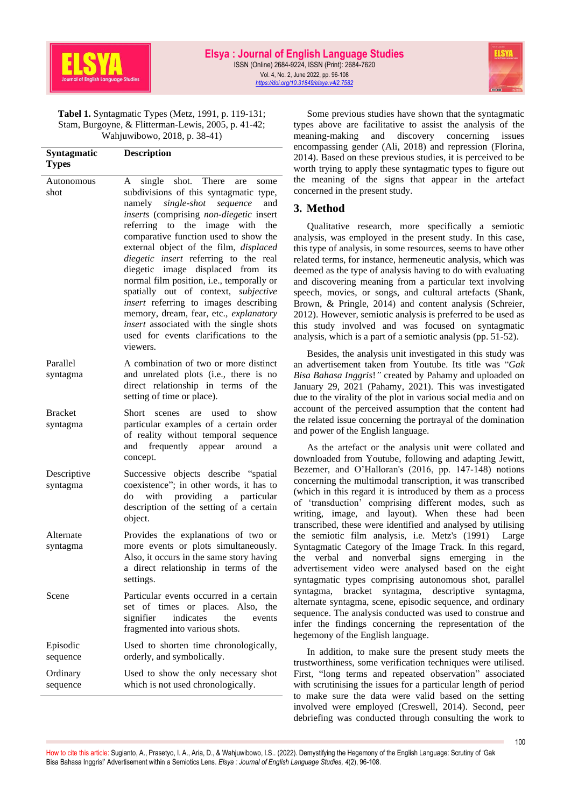

**Tabel 1.** Syntagmatic Types (Metz, 1991, p. 119-131; Stam, Burgoyne, & Flitterman-Lewis, 2005, p. 41-42; Wahjuwibowo, 2018, p. 38-41)

| Syntagmatic<br><b>Types</b> | <b>Description</b>                                                                                                                                                                                                                                                                                                                                                                                                                                                                                                                                                                                                                                                    |
|-----------------------------|-----------------------------------------------------------------------------------------------------------------------------------------------------------------------------------------------------------------------------------------------------------------------------------------------------------------------------------------------------------------------------------------------------------------------------------------------------------------------------------------------------------------------------------------------------------------------------------------------------------------------------------------------------------------------|
| Autonomous<br>shot          | shot. There<br>single<br>A<br>are<br>some<br>subdivisions of this syntagmatic type,<br>single-shot<br>sequence<br>namely<br>and<br>inserts (comprising non-diegetic insert<br>referring to<br>image<br>the<br>with<br>the<br>comparative function used to show the<br>external object of the film, displaced<br>diegetic insert referring to the real<br>diegetic image displaced from<br>its<br>normal film position, i.e., temporally or<br>spatially out of context, subjective<br>insert referring to images describing<br>memory, dream, fear, etc., explanatory<br>insert associated with the single shots<br>used for events clarifications to the<br>viewers. |
| Parallel<br>syntagma        | A combination of two or more distinct<br>and unrelated plots (i.e., there is no<br>direct relationship in terms of the<br>setting of time or place).                                                                                                                                                                                                                                                                                                                                                                                                                                                                                                                  |
| <b>Bracket</b><br>syntagma  | Short<br>are used to<br>show<br>scenes<br>particular examples of a certain order<br>of reality without temporal sequence<br>and frequently appear around<br>a<br>concept.                                                                                                                                                                                                                                                                                                                                                                                                                                                                                             |
| Descriptive<br>syntagma     | Successive objects describe "spatial<br>coexistence"; in other words, it has to<br>with providing a particular<br>do<br>description of the setting of a certain<br>object.                                                                                                                                                                                                                                                                                                                                                                                                                                                                                            |
| Alternate<br>syntagma       | Provides the explanations of two or<br>more events or plots simultaneously.<br>Also, it occurs in the same story having<br>a direct relationship in terms of the<br>settings.                                                                                                                                                                                                                                                                                                                                                                                                                                                                                         |
| Scene                       | Particular events occurred in a certain<br>set of times or places. Also, the<br>signifier<br>indicates<br>the<br>events<br>fragmented into various shots.                                                                                                                                                                                                                                                                                                                                                                                                                                                                                                             |
| Episodic<br>sequence        | Used to shorten time chronologically,<br>orderly, and symbolically.                                                                                                                                                                                                                                                                                                                                                                                                                                                                                                                                                                                                   |
| Ordinary<br>sequence        | Used to show the only necessary shot<br>which is not used chronologically.                                                                                                                                                                                                                                                                                                                                                                                                                                                                                                                                                                                            |

Some previous studies have shown that the syntagmatic types above are facilitative to assist the analysis of the meaning-making and discovery concerning issues encompassing gender (Ali, 2018) and repression (Florina, 2014). Based on these previous studies, it is perceived to be worth trying to apply these syntagmatic types to figure out the meaning of the signs that appear in the artefact concerned in the present study.

# **3. Method**

Qualitative research, more specifically a semiotic analysis, was employed in the present study. In this case, this type of analysis, in some resources, seems to have other related terms, for instance, hermeneutic analysis, which was deemed as the type of analysis having to do with evaluating and discovering meaning from a particular text involving speech, movies, or songs, and cultural artefacts (Shank, Brown, & Pringle, 2014) and content analysis (Schreier, 2012). However, semiotic analysis is preferred to be used as this study involved and was focused on syntagmatic analysis, which is a part of a semiotic analysis (pp. 51-52).

Besides, the analysis unit investigated in this study was an advertisement taken from Youtube. Its title was "*Gak Bisa Bahasa Inggris*!*"* created by Pahamy and uploaded on January 29, 2021 (Pahamy, 2021). This was investigated due to the virality of the plot in various social media and on account of the perceived assumption that the content had the related issue concerning the portrayal of the domination and power of the English language.

As the artefact or the analysis unit were collated and downloaded from Youtube, following and adapting Jewitt, Bezemer, and O'Halloran's (2016, pp. 147-148) notions concerning the multimodal transcription, it was transcribed (which in this regard it is introduced by them as a process of 'transduction' comprising different modes, such as writing, image, and layout). When these had been transcribed, these were identified and analysed by utilising the semiotic film analysis, i.e. Metz's (1991) Large Syntagmatic Category of the Image Track. In this regard, the verbal and nonverbal signs emerging in the advertisement video were analysed based on the eight syntagmatic types comprising autonomous shot, parallel syntagma, bracket syntagma, descriptive syntagma, alternate syntagma, scene, episodic sequence, and ordinary sequence. The analysis conducted was used to construe and infer the findings concerning the representation of the hegemony of the English language.

In addition, to make sure the present study meets the trustworthiness, some verification techniques were utilised. First, "long terms and repeated observation" associated with scrutinising the issues for a particular length of period to make sure the data were valid based on the setting involved were employed (Creswell, 2014). Second, peer debriefing was conducted through consulting the work to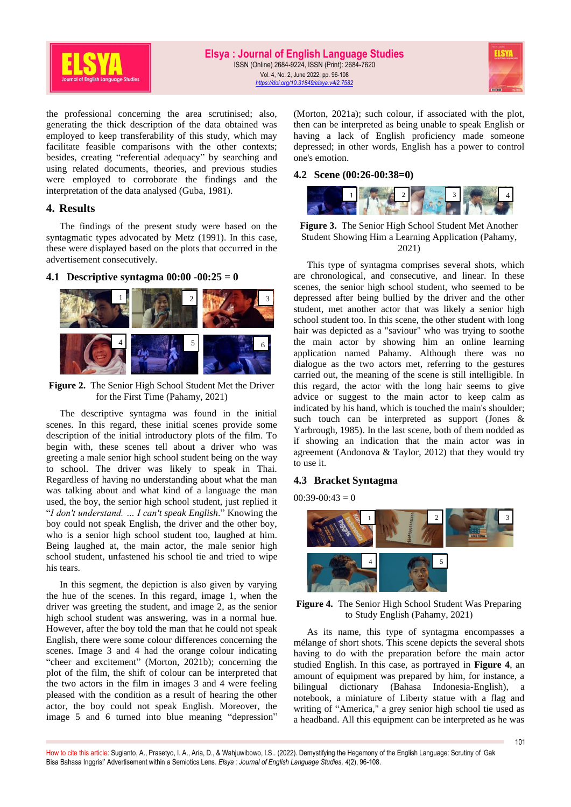

the professional concerning the area scrutinised; also, generating the thick description of the data obtained was employed to keep transferability of this study, which may facilitate feasible comparisons with the other contexts; besides, creating "referential adequacy" by searching and using related documents, theories, and previous studies were employed to corroborate the findings and the interpretation of the data analysed (Guba, 1981).

### **4. Results**

The findings of the present study were based on the syntagmatic types advocated by Metz (1991). In this case, these were displayed based on the plots that occurred in the advertisement consecutively.

### **4.1 Descriptive syntagma 00:00 -00:25 = 0**



**Figure 2.** The Senior High School Student Met the Driver for the First Time (Pahamy, 2021)

The descriptive syntagma was found in the initial scenes. In this regard, these initial scenes provide some description of the initial introductory plots of the film. To begin with, these scenes tell about a driver who was greeting a male senior high school student being on the way to school. The driver was likely to speak in Thai. Regardless of having no understanding about what the man was talking about and what kind of a language the man used, the boy, the senior high school student, just replied it "*I don't understand. … I can't speak English*." Knowing the boy could not speak English, the driver and the other boy, who is a senior high school student too, laughed at him. Being laughed at, the main actor, the male senior high school student, unfastened his school tie and tried to wipe his tears.

In this segment, the depiction is also given by varying the hue of the scenes. In this regard, image 1, when the driver was greeting the student, and image 2, as the senior high school student was answering, was in a normal hue. However, after the boy told the man that he could not speak English, there were some colour differences concerning the scenes. Image 3 and 4 had the orange colour indicating "cheer and excitement" (Morton, 2021b); concerning the plot of the film, the shift of colour can be interpreted that the two actors in the film in images 3 and 4 were feeling pleased with the condition as a result of hearing the other actor, the boy could not speak English. Moreover, the image 5 and 6 turned into blue meaning "depression" (Morton, 2021a); such colour, if associated with the plot, then can be interpreted as being unable to speak English or having a lack of English proficiency made someone depressed; in other words, English has a power to control one's emotion.

#### **4.2 Scene (00:26-00:38=0)**



#### **Figure 3.** The Senior High School Student Met Another Student Showing Him a Learning Application (Pahamy, 2021)

This type of syntagma comprises several shots, which are chronological, and consecutive, and linear. In these scenes, the senior high school student, who seemed to be depressed after being bullied by the driver and the other student, met another actor that was likely a senior high school student too. In this scene, the other student with long hair was depicted as a "saviour" who was trying to soothe the main actor by showing him an online learning application named Pahamy. Although there was no dialogue as the two actors met, referring to the gestures carried out, the meaning of the scene is still intelligible. In this regard, the actor with the long hair seems to give advice or suggest to the main actor to keep calm as indicated by his hand, which is touched the main's shoulder; such touch can be interpreted as support (Jones & Yarbrough, 1985). In the last scene, both of them nodded as if showing an indication that the main actor was in agreement (Andonova & Taylor, 2012) that they would try to use it.

### **4.3 Bracket Syntagma**

 $00:39-00:43=0$ 



**Figure 4.** The Senior High School Student Was Preparing to Study English (Pahamy, 2021)

As its name, this type of syntagma encompasses a mélange of short shots. This scene depicts the several shots having to do with the preparation before the main actor studied English. In this case, as portrayed in **Figure 4**, an amount of equipment was prepared by him, for instance, a bilingual dictionary (Bahasa Indonesia-English), a notebook, a miniature of Liberty statue with a flag and writing of "America," a grey senior high school tie used as a headband. All this equipment can be interpreted as he was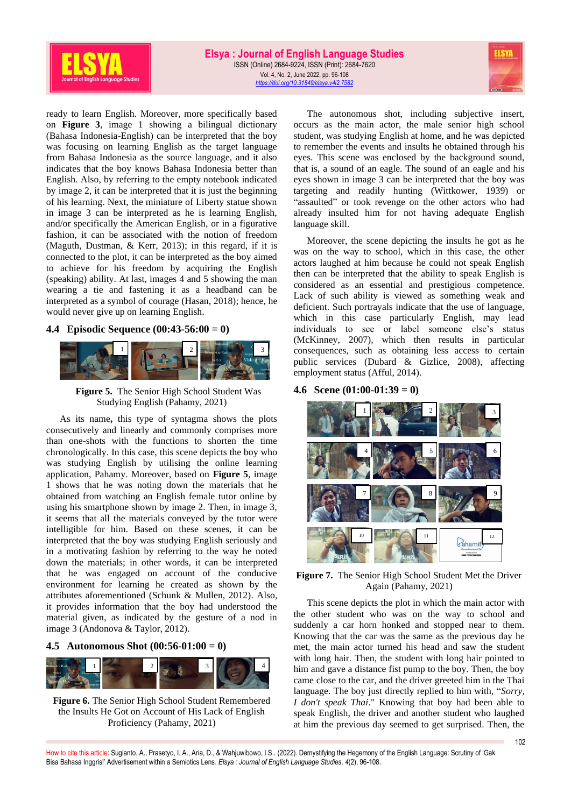

ready to learn English. Moreover, more specifically based on **Figure 3**, image 1 showing a bilingual dictionary (Bahasa Indonesia-English) can be interpreted that the boy was focusing on learning English as the target language from Bahasa Indonesia as the source language, and it also indicates that the boy knows Bahasa Indonesia better than English. Also, by referring to the empty notebook indicated by image 2, it can be interpreted that it is just the beginning of his learning. Next, the miniature of Liberty statue shown in image 3 can be interpreted as he is learning English, and/or specifically the American English, or in a figurative fashion, it can be associated with the notion of freedom (Maguth, Dustman, & Kerr, 2013); in this regard, if it is connected to the plot, it can be interpreted as the boy aimed to achieve for his freedom by acquiring the English (speaking) ability. At last, images 4 and 5 showing the man wearing a tie and fastening it as a headband can be interpreted as a symbol of courage (Hasan, 2018); hence, he would never give up on learning English.

### **4.4 Episodic Sequence (00:43-56:00 = 0)**



**Figure 5.** The Senior High School Student Was Studying English (Pahamy, 2021)

As its name**,** this type of syntagma shows the plots consecutively and linearly and commonly comprises more than one-shots with the functions to shorten the time chronologically. In this case, this scene depicts the boy who was studying English by utilising the online learning application, Pahamy. Moreover, based on **Figure 5**, image 1 shows that he was noting down the materials that he obtained from watching an English female tutor online by using his smartphone shown by image 2. Then, in image 3, it seems that all the materials conveyed by the tutor were intelligible for him. Based on these scenes, it can be interpreted that the boy was studying English seriously and in a motivating fashion by referring to the way he noted down the materials; in other words, it can be interpreted that he was engaged on account of the conducive environment for learning he created as shown by the attributes aforementioned (Schunk & Mullen, 2012). Also, it provides information that the boy had understood the material given, as indicated by the gesture of a nod in image 3 (Andonova & Taylor, 2012).

**4.5 Autonomous Shot (00:56-01:00 = 0)**



**Figure 6.** The Senior High School Student Remembered the Insults He Got on Account of His Lack of English Proficiency (Pahamy, 2021)

The autonomous shot, including subjective insert, occurs as the main actor, the male senior high school student, was studying English at home, and he was depicted to remember the events and insults he obtained through his eyes. This scene was enclosed by the background sound, that is, a sound of an eagle. The sound of an eagle and his eyes shown in image 3 can be interpreted that the boy was targeting and readily hunting (Wittkower, 1939) or "assaulted" or took revenge on the other actors who had already insulted him for not having adequate English language skill.

Moreover, the scene depicting the insults he got as he was on the way to school, which in this case, the other actors laughed at him because he could not speak English then can be interpreted that the ability to speak English is considered as an essential and prestigious competence. Lack of such ability is viewed as something weak and deficient. Such portrayals indicate that the use of language, which in this case particularly English, may lead individuals to see or label someone else's status (McKinney, 2007), which then results in particular consequences, such as obtaining less access to certain public services (Dubard & Gizlice, 2008), affecting employment status (Afful, 2014).

#### **4.6 Scene (01:00-01:39 = 0)**



**Figure 7.** The Senior High School Student Met the Driver Again (Pahamy, 2021)

This scene depicts the plot in which the main actor with the other student who was on the way to school and suddenly a car horn honked and stopped near to them. Knowing that the car was the same as the previous day he met, the main actor turned his head and saw the student with long hair. Then, the student with long hair pointed to him and gave a distance fist pump to the boy. Then, the boy came close to the car, and the driver greeted him in the Thai language. The boy just directly replied to him with, "*Sorry, I don't speak Thai*." Knowing that boy had been able to speak English, the driver and another student who laughed at him the previous day seemed to get surprised. Then, the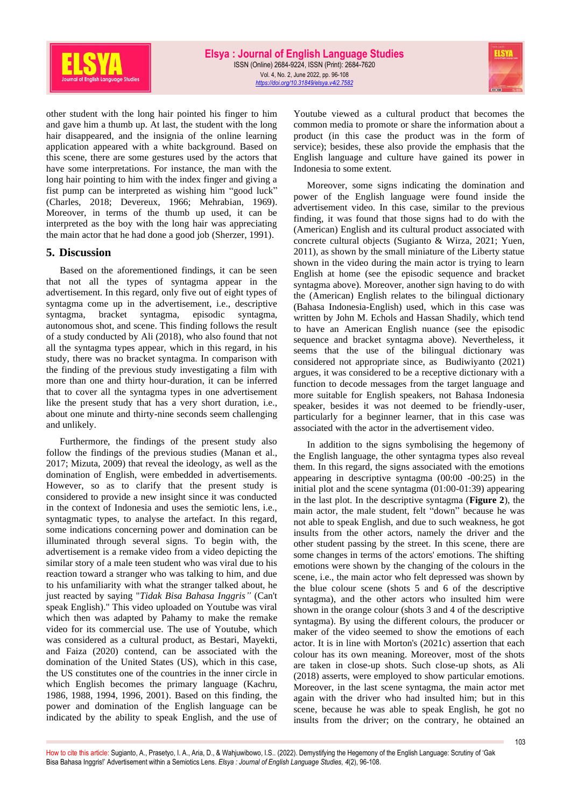

other student with the long hair pointed his finger to him and gave him a thumb up. At last, the student with the long hair disappeared, and the insignia of the online learning application appeared with a white background. Based on this scene, there are some gestures used by the actors that have some interpretations. For instance, the man with the long hair pointing to him with the index finger and giving a fist pump can be interpreted as wishing him "good luck" (Charles, 2018; Devereux, 1966; Mehrabian, 1969). Moreover, in terms of the thumb up used, it can be interpreted as the boy with the long hair was appreciating the main actor that he had done a good job (Sherzer, 1991).

### **5. Discussion**

Based on the aforementioned findings, it can be seen that not all the types of syntagma appear in the advertisement. In this regard, only five out of eight types of syntagma come up in the advertisement, i.e., descriptive syntagma, bracket syntagma, episodic syntagma, autonomous shot, and scene. This finding follows the result of a study conducted by Ali (2018), who also found that not all the syntagma types appear, which in this regard, in his study, there was no bracket syntagma. In comparison with the finding of the previous study investigating a film with more than one and thirty hour-duration, it can be inferred that to cover all the syntagma types in one advertisement like the present study that has a very short duration, i.e., about one minute and thirty-nine seconds seem challenging and unlikely.

Furthermore, the findings of the present study also follow the findings of the previous studies (Manan et al., 2017; Mizuta, 2009) that reveal the ideology, as well as the domination of English, were embedded in advertisements. However, so as to clarify that the present study is considered to provide a new insight since it was conducted in the context of Indonesia and uses the semiotic lens, i.e., syntagmatic types, to analyse the artefact. In this regard, some indications concerning power and domination can be illuminated through several signs. To begin with, the advertisement is a remake video from a video depicting the similar story of a male teen student who was viral due to his reaction toward a stranger who was talking to him, and due to his unfamiliarity with what the stranger talked about, he just reacted by saying "*Tidak Bisa Bahasa Inggris"* (Can't speak English)." This video uploaded on Youtube was viral which then was adapted by Pahamy to make the remake video for its commercial use. The use of Youtube, which was considered as a cultural product, as Bestari, Mayekti, and Faiza (2020) contend, can be associated with the domination of the United States (US), which in this case, the US constitutes one of the countries in the inner circle in which English becomes the primary language (Kachru, 1986, 1988, 1994, 1996, 2001). Based on this finding, the power and domination of the English language can be indicated by the ability to speak English, and the use of

Youtube viewed as a cultural product that becomes the common media to promote or share the information about a product (in this case the product was in the form of service); besides, these also provide the emphasis that the English language and culture have gained its power in Indonesia to some extent.

Moreover, some signs indicating the domination and power of the English language were found inside the advertisement video. In this case, similar to the previous finding, it was found that those signs had to do with the (American) English and its cultural product associated with concrete cultural objects (Sugianto & Wirza, 2021; Yuen, 2011), as shown by the small miniature of the Liberty statue shown in the video during the main actor is trying to learn English at home (see the episodic sequence and bracket syntagma above). Moreover, another sign having to do with the (American) English relates to the bilingual dictionary (Bahasa Indonesia-English) used, which in this case was written by John M. Echols and Hassan Shadily, which tend to have an American English nuance (see the episodic sequence and bracket syntagma above). Nevertheless, it seems that the use of the bilingual dictionary was considered not appropriate since, as Budiwiyanto (2021) argues, it was considered to be a receptive dictionary with a function to decode messages from the target language and more suitable for English speakers, not Bahasa Indonesia speaker, besides it was not deemed to be friendly-user, particularly for a beginner learner, that in this case was associated with the actor in the advertisement video.

In addition to the signs symbolising the hegemony of the English language, the other syntagma types also reveal them. In this regard, the signs associated with the emotions appearing in descriptive syntagma (00:00 -00:25) in the initial plot and the scene syntagma (01:00-01:39) appearing in the last plot. In the descriptive syntagma (**Figure 2**), the main actor, the male student, felt "down" because he was not able to speak English, and due to such weakness, he got insults from the other actors, namely the driver and the other student passing by the street. In this scene, there are some changes in terms of the actors' emotions. The shifting emotions were shown by the changing of the colours in the scene, i.e., the main actor who felt depressed was shown by the blue colour scene (shots 5 and 6 of the descriptive syntagma), and the other actors who insulted him were shown in the orange colour (shots 3 and 4 of the descriptive syntagma). By using the different colours, the producer or maker of the video seemed to show the emotions of each actor. It is in line with Morton's (2021c) assertion that each colour has its own meaning. Moreover, most of the shots are taken in close-up shots. Such close-up shots, as Ali (2018) asserts, were employed to show particular emotions. Moreover, in the last scene syntagma, the main actor met again with the driver who had insulted him; but in this scene, because he was able to speak English, he got no insults from the driver; on the contrary, he obtained an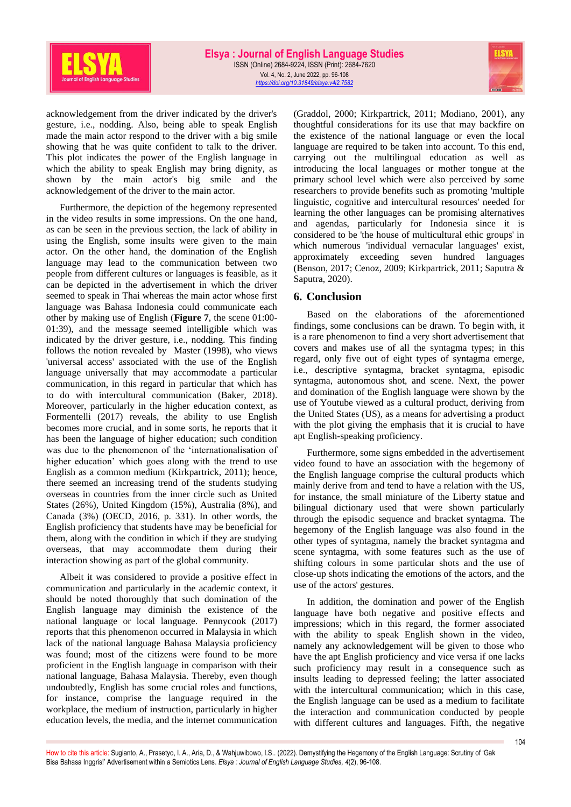

acknowledgement from the driver indicated by the driver's gesture, i.e., nodding. Also, being able to speak English made the main actor respond to the driver with a big smile showing that he was quite confident to talk to the driver. This plot indicates the power of the English language in which the ability to speak English may bring dignity, as shown by the main actor's big smile and the acknowledgement of the driver to the main actor.

Furthermore, the depiction of the hegemony represented in the video results in some impressions. On the one hand, as can be seen in the previous section, the lack of ability in using the English, some insults were given to the main actor. On the other hand, the domination of the English language may lead to the communication between two people from different cultures or languages is feasible, as it can be depicted in the advertisement in which the driver seemed to speak in Thai whereas the main actor whose first language was Bahasa Indonesia could communicate each other by making use of English (**Figure 7**, the scene 01:00- 01:39), and the message seemed intelligible which was indicated by the driver gesture, i.e., nodding. This finding follows the notion revealed by Master (1998), who views 'universal access' associated with the use of the English language universally that may accommodate a particular communication, in this regard in particular that which has to do with intercultural communication (Baker, 2018). Moreover, particularly in the higher education context, as Formentelli (2017) reveals, the ability to use English becomes more crucial, and in some sorts, he reports that it has been the language of higher education; such condition was due to the phenomenon of the 'internationalisation of higher education' which goes along with the trend to use English as a common medium (Kirkpartrick, 2011); hence, there seemed an increasing trend of the students studying overseas in countries from the inner circle such as United States (26%), United Kingdom (15%), Australia (8%), and Canada (3%) (OECD, 2016, p. 331). In other words, the English proficiency that students have may be beneficial for them, along with the condition in which if they are studying overseas, that may accommodate them during their interaction showing as part of the global community.

Albeit it was considered to provide a positive effect in communication and particularly in the academic context, it should be noted thoroughly that such domination of the English language may diminish the existence of the national language or local language. Pennycook (2017) reports that this phenomenon occurred in Malaysia in which lack of the national language Bahasa Malaysia proficiency was found; most of the citizens were found to be more proficient in the English language in comparison with their national language, Bahasa Malaysia. Thereby, even though undoubtedly, English has some crucial roles and functions, for instance, comprise the language required in the workplace, the medium of instruction, particularly in higher education levels, the media, and the internet communication

(Graddol, 2000; Kirkpartrick, 2011; Modiano, 2001), any thoughtful considerations for its use that may backfire on the existence of the national language or even the local language are required to be taken into account. To this end, carrying out the multilingual education as well as introducing the local languages or mother tongue at the primary school level which were also perceived by some researchers to provide benefits such as promoting 'multiple linguistic, cognitive and intercultural resources' needed for learning the other languages can be promising alternatives and agendas, particularly for Indonesia since it is considered to be 'the house of multicultural ethic groups' in which numerous 'individual vernacular languages' exist, approximately exceeding seven hundred languages (Benson, 2017; Cenoz, 2009; Kirkpartrick, 2011; Saputra & Saputra, 2020).

# **6. Conclusion**

Based on the elaborations of the aforementioned findings, some conclusions can be drawn. To begin with, it is a rare phenomenon to find a very short advertisement that covers and makes use of all the syntagma types; in this regard, only five out of eight types of syntagma emerge, i.e., descriptive syntagma, bracket syntagma, episodic syntagma, autonomous shot, and scene. Next, the power and domination of the English language were shown by the use of Youtube viewed as a cultural product, deriving from the United States (US), as a means for advertising a product with the plot giving the emphasis that it is crucial to have apt English-speaking proficiency.

Furthermore, some signs embedded in the advertisement video found to have an association with the hegemony of the English language comprise the cultural products which mainly derive from and tend to have a relation with the US, for instance, the small miniature of the Liberty statue and bilingual dictionary used that were shown particularly through the episodic sequence and bracket syntagma. The hegemony of the English language was also found in the other types of syntagma, namely the bracket syntagma and scene syntagma, with some features such as the use of shifting colours in some particular shots and the use of close-up shots indicating the emotions of the actors, and the use of the actors' gestures.

In addition, the domination and power of the English language have both negative and positive effects and impressions; which in this regard, the former associated with the ability to speak English shown in the video, namely any acknowledgement will be given to those who have the apt English proficiency and vice versa if one lacks such proficiency may result in a consequence such as insults leading to depressed feeling; the latter associated with the intercultural communication; which in this case, the English language can be used as a medium to facilitate the interaction and communication conducted by people with different cultures and languages. Fifth, the negative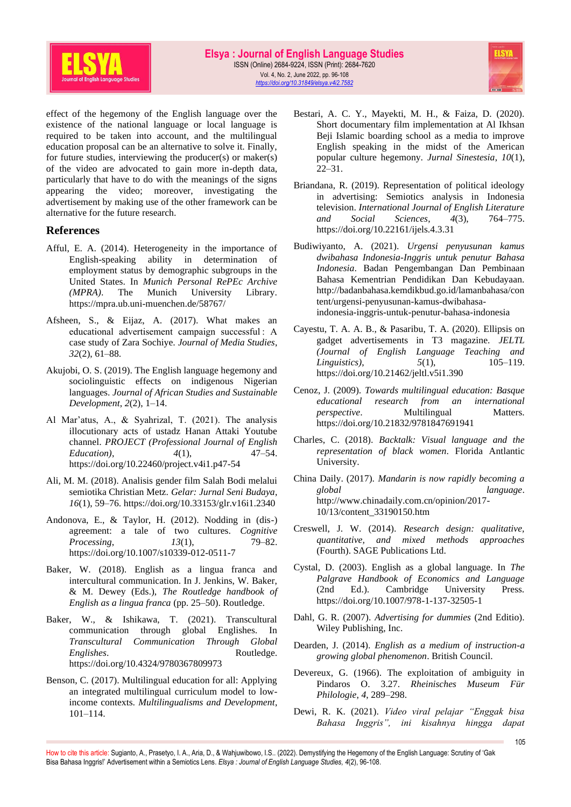

effect of the hegemony of the English language over the existence of the national language or local language is required to be taken into account, and the multilingual education proposal can be an alternative to solve it. Finally, for future studies, interviewing the producer(s) or maker(s) of the video are advocated to gain more in-depth data, particularly that have to do with the meanings of the signs appearing the video; moreover, investigating the advertisement by making use of the other framework can be alternative for the future research.

# **References**

- Afful, E. A. (2014). Heterogeneity in the importance of English-speaking ability in determination of employment status by demographic subgroups in the United States. In *Munich Personal RePEc Archive (MPRA)*. The Munich University Library. https://mpra.ub.uni-muenchen.de/58767/
- Afsheen, S., & Eijaz, A. (2017). What makes an educational advertisement campaign successful : A case study of Zara Sochiye. *Journal of Media Studies*, *32*(2), 61–88.
- Akujobi, O. S. (2019). The English language hegemony and sociolinguistic effects on indigenous Nigerian languages. *Journal of African Studies and Sustainable Development*, *2*(2), 1–14.
- Al Mar'atus, A., & Syahrizal, T. (2021). The analysis illocutionary acts of ustadz Hanan Attaki Youtube channel. *PROJECT (Professional Journal of English Education*), 4(1), 47–54. https://doi.org/10.22460/project.v4i1.p47-54
- Ali, M. M. (2018). Analisis gender film Salah Bodi melalui semiotika Christian Metz. *Gelar: Jurnal Seni Budaya*, *16*(1), 59–76. https://doi.org/10.33153/glr.v16i1.2340
- Andonova, E., & Taylor, H. (2012). Nodding in (dis-) agreement: a tale of two cultures. *Cognitive Processing*, *13*(1), 79–82. https://doi.org/10.1007/s10339-012-0511-7
- Baker, W. (2018). English as a lingua franca and intercultural communication. In J. Jenkins, W. Baker, & M. Dewey (Eds.), *The Routledge handbook of English as a lingua franca* (pp. 25–50). Routledge.
- Baker, W., & Ishikawa, T. (2021). Transcultural communication through global Englishes. In *Transcultural Communication Through Global Englishes.* Routledge. https://doi.org/10.4324/9780367809973
- Benson, C. (2017). Multilingual education for all: Applying an integrated multilingual curriculum model to lowincome contexts. *Multilingualisms and Development*, 101–114.
- Bestari, A. C. Y., Mayekti, M. H., & Faiza, D. (2020). Short documentary film implementation at Al Ikhsan Beji Islamic boarding school as a media to improve English speaking in the midst of the American popular culture hegemony. *Jurnal Sinestesia*, *10*(1), 22–31.
- Briandana, R. (2019). Representation of political ideology in advertising: Semiotics analysis in Indonesia television. *International Journal of English Literature and Social Sciences*, *4*(3), 764–775. https://doi.org/10.22161/ijels.4.3.31
- Budiwiyanto, A. (2021). *Urgensi penyusunan kamus dwibahasa Indonesia-Inggris untuk penutur Bahasa Indonesia*. Badan Pengembangan Dan Pembinaan Bahasa Kementrian Pendidikan Dan Kebudayaan. http://badanbahasa.kemdikbud.go.id/lamanbahasa/con tent/urgensi-penyusunan-kamus-dwibahasaindonesia-inggris-untuk-penutur-bahasa-indonesia
- Cayestu, T. A. A. B., & Pasaribu, T. A. (2020). Ellipsis on gadget advertisements in T3 magazine. *JELTL (Journal of English Language Teaching and Linguistics*),  $5(1)$ ,  $105-119$ . https://doi.org/10.21462/jeltl.v5i1.390
- Cenoz, J. (2009). *Towards multilingual education: Basque educational research from an international perspective.* Multilingual Matters. https://doi.org/10.21832/9781847691941
- Charles, C. (2018). *Backtalk: Visual language and the representation of black women*. Florida Antlantic University.
- China Daily. (2017). *Mandarin is now rapidly becoming a global language*. http://www.chinadaily.com.cn/opinion/2017- 10/13/content\_33190150.htm
- Creswell, J. W. (2014). *Research design: qualitative, quantitative, and mixed methods approaches* (Fourth). SAGE Publications Ltd.
- Cystal, D. (2003). English as a global language. In *The Palgrave Handbook of Economics and Language* (2nd Ed.). Cambridge University Press. https://doi.org/10.1007/978-1-137-32505-1
- Dahl, G. R. (2007). *Advertising for dummies* (2nd Editio). Wiley Publishing, Inc.
- Dearden, J. (2014). *English as a medium of instruction-a growing global phenomenon*. British Council.
- Devereux, G. (1966). The exploitation of ambiguity in Pindaros O. 3.27. *Rheinisches Museum Für Philologie*, *4*, 289–298.
- Dewi, R. K. (2021). *Video viral pelajar "Enggak bisa Bahasa Inggris", ini kisahnya hingga dapat*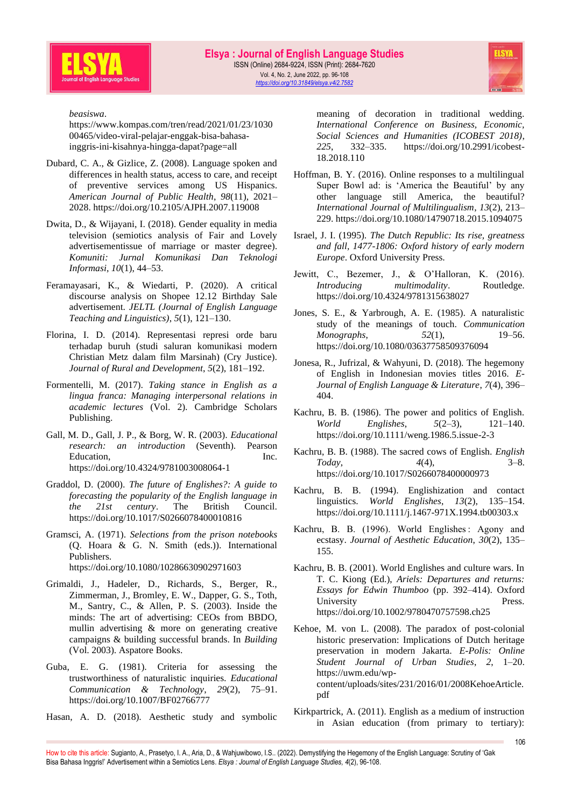



*beasiswa*.

https://www.kompas.com/tren/read/2021/01/23/1030 00465/video-viral-pelajar-enggak-bisa-bahasainggris-ini-kisahnya-hingga-dapat?page=all

- Dubard, C. A., & Gizlice, Z. (2008). Language spoken and differences in health status, access to care, and receipt of preventive services among US Hispanics. *American Journal of Public Health*, *98*(11), 2021– 2028. https://doi.org/10.2105/AJPH.2007.119008
- Dwita, D., & Wijayani, I. (2018). Gender equality in media television (semiotics analysis of Fair and Lovely advertisementissue of marriage or master degree). *Komuniti: Jurnal Komunikasi Dan Teknologi Informasi*, *10*(1), 44–53.
- Feramayasari, K., & Wiedarti, P. (2020). A critical discourse analysis on Shopee 12.12 Birthday Sale advertisement. *JELTL (Journal of English Language Teaching and Linguistics)*, *5*(1), 121–130.
- Florina, I. D. (2014). Representasi represi orde baru terhadap buruh (studi saluran komunikasi modern Christian Metz dalam film Marsinah) (Cry Justice). *Journal of Rural and Development*, *5*(2), 181–192.
- Formentelli, M. (2017). *Taking stance in English as a lingua franca: Managing interpersonal relations in academic lectures* (Vol. 2). Cambridge Scholars Publishing.
- Gall, M. D., Gall, J. P., & Borg, W. R. (2003). *Educational research: an introduction* (Seventh). Pearson Education, Inc. https://doi.org/10.4324/9781003008064-1
- Graddol, D. (2000). *The future of Englishes?: A guide to forecasting the popularity of the English language in the 21st century*. The British Council. https://doi.org/10.1017/S0266078400010816
- Gramsci, A. (1971). *Selections from the prison notebooks* (Q. Hoara & G. N. Smith (eds.)). International Publishers. https://doi.org/10.1080/10286630902971603
- Grimaldi, J., Hadeler, D., Richards, S., Berger, R., Zimmerman, J., Bromley, E. W., Dapper, G. S., Toth, M., Santry, C., & Allen, P. S. (2003). Inside the minds: The art of advertising: CEOs from BBDO, mullin advertising & more on generating creative campaigns & building successful brands. In *Building* (Vol. 2003). Aspatore Books.
- Guba, E. G. (1981). Criteria for assessing the trustworthiness of naturalistic inquiries. *Educational Communication & Technology*, *29*(2), 75–91. https://doi.org/10.1007/BF02766777
- Hasan, A. D. (2018). Aesthetic study and symbolic

meaning of decoration in traditional wedding. *International Conference on Business, Economic, Social Sciences and Humanities (ICOBEST 2018)*, *225*, 332–335. https://doi.org/10.2991/icobest-18.2018.110

- Hoffman, B. Y. (2016). Online responses to a multilingual Super Bowl ad: is 'America the Beautiful' by any other language still America, the beautiful? *International Journal of Multilingualism*, *13*(2), 213– 229. https://doi.org/10.1080/14790718.2015.1094075
- Israel, J. I. (1995). *The Dutch Republic: Its rise, greatness and fall, 1477-1806: Oxford history of early modern Europe*. Oxford University Press.
- Jewitt, C., Bezemer, J., & O'Halloran, K. (2016). *Introducing multimodality*. Routledge. https://doi.org/10.4324/9781315638027
- Jones, S. E., & Yarbrough, A. E. (1985). A naturalistic study of the meanings of touch. *Communication Monographs*, *52*(1), 19–56. https://doi.org/10.1080/03637758509376094
- Jonesa, R., Jufrizal, & Wahyuni, D. (2018). The hegemony of English in Indonesian movies titles 2016. *E-Journal of English Language & Literature*, *7*(4), 396– 404.
- Kachru, B. B. (1986). The power and politics of English. *World Englishes*, *5*(2–3), 121–140. https://doi.org/10.1111/weng.1986.5.issue-2-3
- Kachru, B. B. (1988). The sacred cows of English. *English Today*,  $4(4)$ , https://doi.org/10.1017/S0266078400000973
- Kachru, B. B. (1994). Englishization and contact linguistics. *World Englishes*, *13*(2), 135–154. https://doi.org/10.1111/j.1467-971X.1994.tb00303.x
- Kachru, B. B. (1996). World Englishes : Agony and ecstasy. *Journal of Aesthetic Education*, *30*(2), 135– 155.
- Kachru, B. B. (2001). World Englishes and culture wars. In T. C. Kiong (Ed.), *Ariels: Departures and returns: Essays for Edwin Thumboo* (pp. 392–414). Oxford University Press. https://doi.org/10.1002/9780470757598.ch25
- Kehoe, M. von L. (2008). The paradox of post-colonial historic preservation: Implications of Dutch heritage preservation in modern Jakarta. *E-Polis: Online Student Journal of Urban Studies*, *2*, 1–20. https://uwm.edu/wpcontent/uploads/sites/231/2016/01/2008KehoeArticle. pdf
- Kirkpartrick, A. (2011). English as a medium of instruction in Asian education (from primary to tertiary):

How to cite this article: Sugianto, A., Prasetyo, I. A., Aria, D., & Wahjuwibowo, I.S.. (2022). Demystifying the Hegemony of the English Language: Scrutiny of 'Gak Bisa Bahasa Inggris!' Advertisement within a Semiotics Lens. *Elsya : Journal of English Language Studies, 4*(2), 96-108.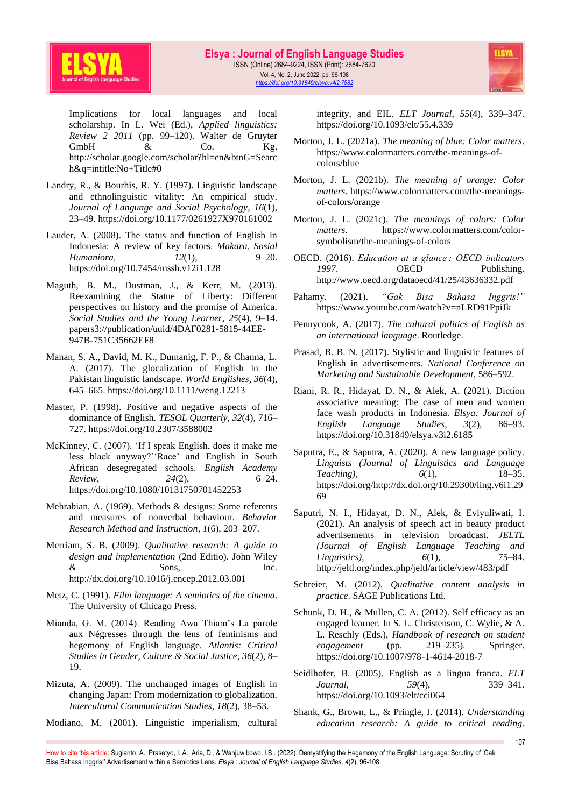



Implications for local languages and local scholarship. In L. Wei (Ed.), *Applied linguistics: Review 2 2011* (pp. 99–120). Walter de Gruyter GmbH  $\&$  Co. Kg. http://scholar.google.com/scholar?hl=en&btnG=Searc h&q=intitle:No+Title#0

- Landry, R., & Bourhis, R. Y. (1997). Linguistic landscape and ethnolinguistic vitality: An empirical study. *Journal of Language and Social Psychology*, *16*(1), 23–49. https://doi.org/10.1177/0261927X970161002
- Lauder, A. (2008). The status and function of English in Indonesia: A review of key factors. *Makara, Sosial Humaniora*, *12*(1), 9–20. https://doi.org/10.7454/mssh.v12i1.128
- Maguth, B. M., Dustman, J., & Kerr, M. (2013). Reexamining the Statue of Liberty: Different perspectives on history and the promise of America. *Social Studies and the Young Learner*, *25*(4), 9–14. papers3://publication/uuid/4DAF0281-5815-44EE-947B-751C35662EF8
- Manan, S. A., David, M. K., Dumanig, F. P., & Channa, L. A. (2017). The glocalization of English in the Pakistan linguistic landscape. *World Englishes*, *36*(4), 645–665. https://doi.org/10.1111/weng.12213
- Master, P. (1998). Positive and negative aspects of the dominance of English. *TESOL Quarterly*, *32*(4), 716– 727. https://doi.org/10.2307/3588002
- McKinney, C. (2007). 'If I speak English, does it make me less black anyway?''Race' and English in South African desegregated schools. *English Academy Review*, *24*(2), 6–24. https://doi.org/10.1080/10131750701452253
- Mehrabian, A. (1969). Methods & designs: Some referents and measures of nonverbal behaviour. *Behavior Research Method and Instruction*, *1*(6), 203–207.
- Merriam, S. B. (2009). *Qualitative research: A guide to design and implementation* (2nd Editio). John Wiley  $\&$  Sons, Inc. http://dx.doi.org/10.1016/j.encep.2012.03.001
- Metz, C. (1991). *Film language: A semiotics of the cinema*. The University of Chicago Press.
- Mianda, G. M. (2014). Reading Awa Thiam's La parole aux Négresses through the lens of feminisms and hegemony of English language. *Atlantis: Critical Studies in Gender, Culture & Social Justice*, *36*(2), 8– 19.
- Mizuta, A. (2009). The unchanged images of English in changing Japan: From modernization to globalization. *Intercultural Communication Studies*, *18*(2), 38–53.
- Modiano, M. (2001). Linguistic imperialism, cultural

integrity, and EIL. *ELT Journal*, *55*(4), 339–347. https://doi.org/10.1093/elt/55.4.339

- Morton, J. L. (2021a). *The meaning of blue: Color matters*. https://www.colormatters.com/the-meanings-ofcolors/blue
- Morton, J. L. (2021b). *The meaning of orange: Color matters*. https://www.colormatters.com/the-meaningsof-colors/orange
- Morton, J. L. (2021c). *The meanings of colors: Color matters*. https://www.colormatters.com/colorsymbolism/the-meanings-of-colors
- OECD. (2016). *Education at a glance : OECD indicators*  1997. **OECD** Publishing. http://www.oecd.org/dataoecd/41/25/43636332.pdf
- Pahamy. (2021). *"Gak Bisa Bahasa Inggris!"* https://www.youtube.com/watch?v=nLRD91PpiJk
- Pennycook, A. (2017). *The cultural politics of English as an international language*. Routledge.
- Prasad, B. B. N. (2017). Stylistic and linguistic features of English in advertisements. *National Conference on Marketing and Sustainable Development*, 586–592.
- Riani, R. R., Hidayat, D. N., & Alek, A. (2021). Diction associative meaning: The case of men and women face wash products in Indonesia. *Elsya: Journal of English Language Studies*, *3*(2), 86–93. https://doi.org/10.31849/elsya.v3i2.6185
- Saputra, E., & Saputra, A. (2020). A new language policy. *Linguists (Journal of Linguistics and Language Teaching)*, *6*(1), 18–35. https://doi.org/http://dx.doi.org/10.29300/ling.v6i1.29 69
- Saputri, N. I., Hidayat, D. N., Alek, & Eviyuliwati, I. (2021). An analysis of speech act in beauty product advertisements in television broadcast. *JELTL (Journal of English Language Teaching and Linguistics)*, *6*(1), 75–84. http://jeltl.org/index.php/jeltl/article/view/483/pdf
- Schreier, M. (2012). *Qualitative content analysis in practice*. SAGE Publications Ltd.
- Schunk, D. H., & Mullen, C. A. (2012). Self efficacy as an engaged learner. In S. L. Christenson, C. Wylie, & A. L. Reschly (Eds.), *Handbook of research on student engagement* (pp. 219–235). Springer. https://doi.org/10.1007/978-1-4614-2018-7
- Seidlhofer, B. (2005). English as a lingua franca. *ELT Journal*, *59*(4), 339–341. https://doi.org/10.1093/elt/cci064
- Shank, G., Brown, L., & Pringle, J. (2014). *Understanding education research: A guide to critical reading*.